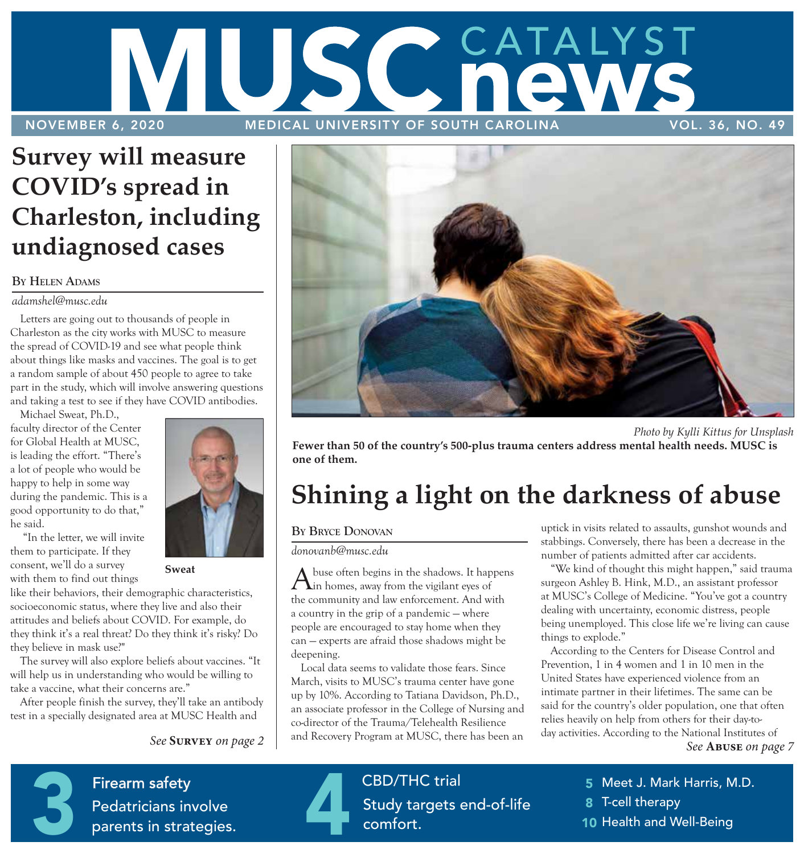

### **Survey will measure COVID's spread in Charleston, including undiagnosed cases**

#### **By Helen AdAms**

#### *adamshel@musc.edu*

Letters are going out to thousands of people in Charleston as the city works with MUSC to measure the spread of COVID-19 and see what people think about things like masks and vaccines. The goal is to get a random sample of about 450 people to agree to take part in the study, which will involve answering questions and taking a test to see if they have COVID antibodies.

Michael Sweat, Ph.D., faculty director of the Center for Global Health at MUSC, is leading the effort. "There's a lot of people who would be happy to help in some way during the pandemic. This is a good opportunity to do that," he said.

 "In the letter, we will invite them to participate. If they consent, we'll do a survey with them to find out things

like their behaviors, their demographic characteristics, socioeconomic status, where they live and also their attitudes and beliefs about COVID. For example, do they think it's a real threat? Do they think it's risky? Do they believe in mask use?"

The survey will also explore beliefs about vaccines. "It will help us in understanding who would be willing to take a vaccine, what their concerns are."

After people finish the survey, they'll take an antibody test in a specially designated area at MUSC Health and





 *Photo by Kylli Kittus for Unsplash* **Fewer than 50 of the country's 500-plus trauma centers address mental health needs. MUSC is one of them.**

### **Shining a light on the darkness of abuse**

#### **BY BRYCE DONOVAN**

*donovanb@musc.edu*

A buse often begins in the shadows. It happens<br>in homes, away from the vigilant eyes of the community and law enforcement. And with a country in the grip of a pandemic — where people are encouraged to stay home when they can — experts are afraid those shadows might be deepening.

Local data seems to validate those fears. Since March, visits to MUSC's trauma center have gone up by 10%. According to Tatiana Davidson, Ph.D., an associate professor in the College of Nursing and co-director of the Trauma/Telehealth Resilience and Recovery Program at MUSC, there has been an

uptick in visits related to assaults, gunshot wounds and stabbings. Conversely, there has been a decrease in the number of patients admitted after car accidents.

"We kind of thought this might happen," said trauma surgeon Ashley B. Hink, M.D., an assistant professor at MUSC's College of Medicine. "You've got a country dealing with uncertainty, economic distress, people being unemployed. This close life we're living can cause things to explode."

*See* **Abuse** *on page 7* According to the Centers for Disease Control and Prevention, 1 in 4 women and 1 in 10 men in the United States have experienced violence from an intimate partner in their lifetimes. The same can be said for the country's older population, one that often relies heavily on help from others for their day-today activities. According to the National Institutes of



**Patient Gift** Firearm safety **CBD/THC** trial **Pedatricians involve** parents in strategies. Firearm safety<br>Pedatricians involve<br>parents in strategies.

**CBD/THC** trial  $\epsilon$ *Firstian* conditions Study targets end-of-life comfort.

5 Meet J. Mark Harris, M.D.

8 T-cell therapy

 $\frac{1}{2}$ 10 Health and Well-Being



**Sweat**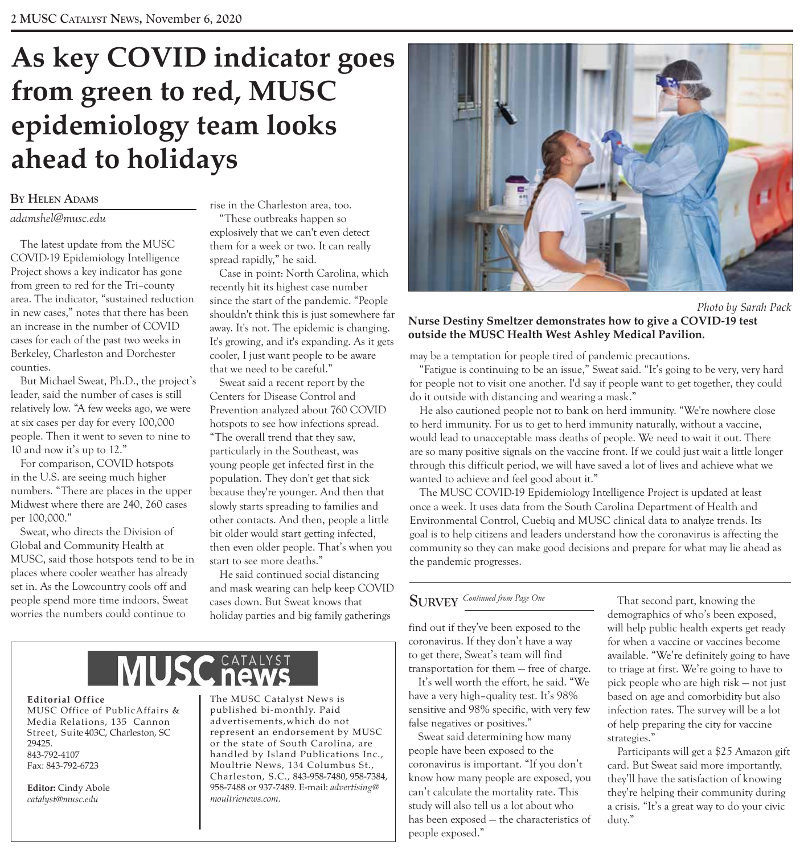### **As key COVID indicator goes from green to red, MUSC epidemiology team looks ahead to holidays**

#### **By Helen AdAms**

#### *adamshel@musc.edu*

The latest update from the MUSC COVID-19 Epidemiology Intelligence Project shows a key indicator has gone from green to red for the Tri–county area. The indicator, "sustained reduction in new cases," notes that there has been an increase in the number of COVID cases for each of the past two weeks in Berkeley, Charleston and Dorchester counties.

But Michael Sweat, Ph.D., the project's leader, said the number of cases is still relatively low. "A few weeks ago, we were at six cases per day for every 100,000 people. Then it went to seven to nine to 10 and now it's up to 12."

For comparison, COVID hotspots in the U.S. are seeing much higher numbers. "There are places in the upper Midwest where there are 240, 260 cases per 100,000."

Sweat, who directs the Division of Global and Community Health at MUSC, said those hotspots tend to be in places where cooler weather has already set in. As the Lowcountry cools off and people spend more time indoors, Sweat worries the numbers could continue to

rise in the Charleston area, too. "These outbreaks happen so explosively that we can't even detect them for a week or two. It can really spread rapidly," he said.

Case in point: North Carolina, which recently hit its highest case number since the start of the pandemic. "People shouldn't think this is just somewhere far away. It's not. The epidemic is changing. It's growing, and it's expanding. As it gets cooler, I just want people to be aware that we need to be careful."

Sweat said a recent report by the Centers for Disease Control and Prevention analyzed about 760 COVID hotspots to see how infections spread. "The overall trend that they saw, particularly in the Southeast, was young people get infected first in the population. They don't get that sick because they're younger. And then that slowly starts spreading to families and other contacts. And then, people a little bit older would start getting infected, then even older people. That's when you start to see more deaths."

He said continued social distancing and mask wearing can help keep COVID cases down. But Sweat knows that holiday parties and big family gatherings



 *Photo by Sarah Pack*

#### **Nurse Destiny Smeltzer demonstrates how to give a COVID-19 test outside the MUSC Health West Ashley Medical Pavilion.**

may be a temptation for people tired of pandemic precautions.

"Fatigue is continuing to be an issue," Sweat said. "It's going to be very, very hard for people not to visit one another. I'd say if people want to get together, they could do it outside with distancing and wearing a mask."

He also cautioned people not to bank on herd immunity. "We're nowhere close to herd immunity. For us to get to herd immunity naturally, without a vaccine, would lead to unacceptable mass deaths of people. We need to wait it out. There are so many positive signals on the vaccine front. If we could just wait a little longer through this difficult period, we will have saved a lot of lives and achieve what we wanted to achieve and feel good about it."

The MUSC COVID-19 Epidemiology Intelligence Project is updated at least once a week. It uses data from the South Carolina Department of Health and Environmental Control, Cuebiq and MUSC clinical data to analyze trends. Its goal is to help citizens and leaders understand how the coronavirus is affecting the community so they can make good decisions and prepare for what may lie ahead as the pandemic progresses.

#### **sUrvey** *Continued from Page One*

find out if they've been exposed to the coronavirus. If they don't have a way to get there, Sweat's team will find transportation for them — free of charge.

It's well worth the effort, he said. "We have a very high–quality test. It's 98% sensitive and 98% specific, with very few false negatives or positives."

Sweat said determining how many people have been exposed to the coronavirus is important. "If you don't know how many people are exposed, you can't calculate the mortality rate. This study will also tell us a lot about who has been exposed — the characteristics of people exposed."

That second part, knowing the demographics of who's been exposed, will help public health experts get ready for when a vaccine or vaccines become available. "We're definitely going to have to triage at first. We're going to have to pick people who are high risk — not just based on age and comorbidity but also infection rates. The survey will be a lot of help preparing the city for vaccine strategies."

Participants will get a \$25 Amazon gift card. But Sweat said more importantly, they'll have the satisfaction of knowing they're helping their community during a crisis. "It's a great way to do your civic duty."

# **MUSC** he

#### **Editorial Office**

MUSC Office of PublicAffairs & Media Relations, 135 Cannon Street, Suite 403C, Charleston, SC 29425. 843-792-4107 Fax: 843-792-6723

**Editor:** Cindy Abole *catalyst@musc.edu*

The MUSC Catalyst News is published bi-monthly. Paid advertisements,which do not represent an endorsement by MUSC or the state of South Carolina, are handled by Island Publications Inc., Moultrie News, 134 Columbus St., Charleston, S.C., 843-958-7480, 958-7384, 958-7488 or 937-7489. E-mail: *advertising@ moultrienews.com.*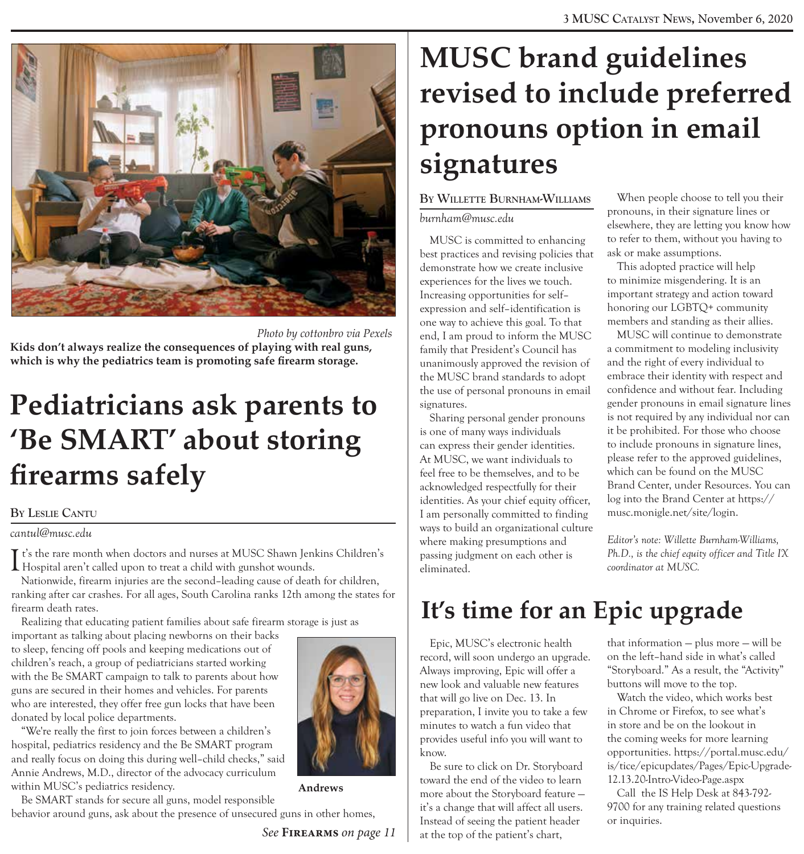

 *Photo by cottonbro via Pexels* 

**Kids don't always realize the consequences of playing with real guns, which is why the pediatrics team is promoting safe firearm storage.**

### **Pediatricians ask parents to 'Be SMART' about storing firearms safely**

#### **By leslie cAntU**

*cantul@musc.edu*

I t's the rare month when doctors and nurses at MUSC Shawn Jenkins Children's<br>Hospital aren't called upon to treat a child with gunshot wounds. Hospital aren't called upon to treat a child with gunshot wounds.

Nationwide, firearm injuries are the second–leading cause of death for children, ranking after car crashes. For all ages, South Carolina ranks 12th among the states for firearm death rates.

Realizing that educating patient families about safe firearm storage is just as

important as talking about placing newborns on their backs to sleep, fencing off pools and keeping medications out of children's reach, a group of pediatricians started working with the Be SMART campaign to talk to parents about how guns are secured in their homes and vehicles. For parents who are interested, they offer free gun locks that have been donated by local police departments.

"We're really the first to join forces between a children's hospital, pediatrics residency and the Be SMART program and really focus on doing this during well–child checks," said Annie Andrews, M.D., director of the advocacy curriculum within MUSC's pediatrics residency.

Be SMART stands for secure all guns, model responsible behavior around guns, ask about the presence of unsecured guns in other homes,

**Andrews**

### **MUSC brand guidelines revised to include preferred pronouns option in email signatures**

#### **By willette BUrnHAm-williAms** *burnham@musc.edu*

MUSC is committed to enhancing best practices and revising policies that demonstrate how we create inclusive experiences for the lives we touch. Increasing opportunities for self– expression and self–identification is one way to achieve this goal. To that end, I am proud to inform the MUSC family that President's Council has unanimously approved the revision of the MUSC brand standards to adopt the use of personal pronouns in email signatures.

Sharing personal gender pronouns is one of many ways individuals can express their gender identities. At MUSC, we want individuals to feel free to be themselves, and to be acknowledged respectfully for their identities. As your chief equity officer, I am personally committed to finding ways to build an organizational culture where making presumptions and passing judgment on each other is eliminated.

When people choose to tell you their pronouns, in their signature lines or elsewhere, they are letting you know how to refer to them, without you having to ask or make assumptions.

This adopted practice will help to minimize misgendering. It is an important strategy and action toward honoring our LGBTQ+ community members and standing as their allies.

MUSC will continue to demonstrate a commitment to modeling inclusivity and the right of every individual to embrace their identity with respect and confidence and without fear. Including gender pronouns in email signature lines is not required by any individual nor can it be prohibited. For those who choose to include pronouns in signature lines, please refer to the approved guidelines, which can be found on the MUSC Brand Center, under Resources. You can log into the Brand Center at https:// musc.monigle.net/site/login.

*Editor's note: Willette Burnham-Williams, Ph.D., is the chief equity officer and Title IX coordinator at MUSC.*

### **It's time for an Epic upgrade**

Epic, MUSC's electronic health record, will soon undergo an upgrade. Always improving, Epic will offer a new look and valuable new features that will go live on Dec. 13. In preparation, I invite you to take a few minutes to watch a fun video that provides useful info you will want to know.

Be sure to click on Dr. Storyboard toward the end of the video to learn more about the Storyboard feature it's a change that will affect all users. Instead of seeing the patient header at the top of the patient's chart,

that information — plus more — will be on the left–hand side in what's called "Storyboard." As a result, the "Activity" buttons will move to the top.

Watch the video, which works best in Chrome or Firefox, to see what's in store and be on the lookout in the coming weeks for more learning opportunities. https://portal.musc.edu/ is/tice/epicupdates/Pages/Epic-Upgrade-12.13.20-Intro-Video-Page.aspx

Call the IS Help Desk at 843-792- 9700 for any training related questions or inquiries.

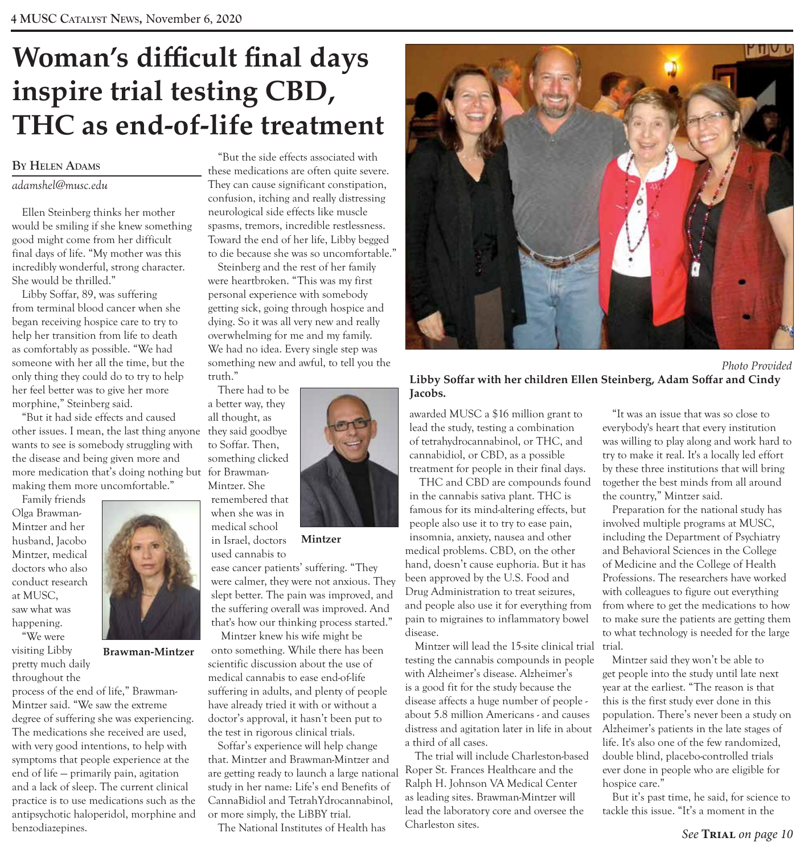### **Woman's difficult final days inspire trial testing CBD, THC as end-of-life treatment**

#### **By Helen AdAms**

#### *adamshel@musc.edu*

Ellen Steinberg thinks her mother would be smiling if she knew something good might come from her difficult final days of life. "My mother was this incredibly wonderful, strong character. She would be thrilled."

Libby Soffar, 89, was suffering from terminal blood cancer when she began receiving hospice care to try to help her transition from life to death as comfortably as possible. "We had someone with her all the time, but the only thing they could do to try to help her feel better was to give her more morphine," Steinberg said.

"But it had side effects and caused other issues. I mean, the last thing anyone they said goodbye wants to see is somebody struggling with the disease and being given more and more medication that's doing nothing but for Brawmanmaking them more uncomfortable."

Family friends Olga Brawman-Mintzer and her husband, Jacobo Mintzer, medical doctors who also conduct research at MUSC, saw what was happening.

"We were visiting Libby pretty much daily

throughout the

**Brawman-Mintzer**

process of the end of life," Brawman-Mintzer said. "We saw the extreme degree of suffering she was experiencing. The medications she received are used, with very good intentions, to help with symptoms that people experience at the end of life — primarily pain, agitation and a lack of sleep. The current clinical practice is to use medications such as the antipsychotic haloperidol, morphine and benzodiazepines.

"But the side effects associated with these medications are often quite severe. They can cause significant constipation, confusion, itching and really distressing neurological side effects like muscle spasms, tremors, incredible restlessness. Toward the end of her life, Libby begged to die because she was so uncomfortable."

Steinberg and the rest of her family were heartbroken. "This was my first personal experience with somebody getting sick, going through hospice and dying. So it was all very new and really overwhelming for me and my family. We had no idea. Every single step was something new and awful, to tell you the truth."

There had to be

all thought, as to Soffar. Then, something clicked Mintzer. She

remembered that

**Mintzer**

ease cancer patients' suffering. "They were calmer, they were not anxious. They slept better. The pain was improved, and the suffering overall was improved. And that's how our thinking process started."

Mintzer knew his wife might be onto something. While there has been scientific discussion about the use of medical cannabis to ease end-of-life suffering in adults, and plenty of people have already tried it with or without a doctor's approval, it hasn't been put to the test in rigorous clinical trials.

Soffar's experience will help change that. Mintzer and Brawman-Mintzer and are getting ready to launch a large national study in her name: Life's end Benefits of CannaBidiol and TetrahYdrocannabinol, or more simply, the LiBBY trial.

The National Institutes of Health has



 *Photo Provided* **Libby Soffar with her children Ellen Steinberg, Adam Soffar and Cindy Jacobs.**

awarded MUSC a \$16 million grant to lead the study, testing a combination of tetrahydrocannabinol, or THC, and cannabidiol, or CBD, as a possible treatment for people in their final days.

THC and CBD are compounds found in the cannabis sativa plant. THC is famous for its mind-altering effects, but people also use it to try to ease pain, insomnia, anxiety, nausea and other medical problems. CBD, on the other hand, doesn't cause euphoria. But it has been approved by the U.S. Food and Drug Administration to treat seizures, and people also use it for everything from pain to migraines to inflammatory bowel disease.

Mintzer will lead the 15-site clinical trial testing the cannabis compounds in people with Alzheimer's disease. Alzheimer's is a good fit for the study because the disease affects a huge number of people about 5.8 million Americans - and causes distress and agitation later in life in about a third of all cases.

The trial will include Charleston-based Roper St. Frances Healthcare and the Ralph H. Johnson VA Medical Center as leading sites. Brawman-Mintzer will lead the laboratory core and oversee the Charleston sites.

"It was an issue that was so close to everybody's heart that every institution was willing to play along and work hard to try to make it real. It's a locally led effort by these three institutions that will bring together the best minds from all around the country," Mintzer said.

Preparation for the national study has involved multiple programs at MUSC, including the Department of Psychiatry and Behavioral Sciences in the College of Medicine and the College of Health Professions. The researchers have worked with colleagues to figure out everything from where to get the medications to how to make sure the patients are getting them to what technology is needed for the large trial.

Mintzer said they won't be able to get people into the study until late next year at the earliest. "The reason is that this is the first study ever done in this population. There's never been a study on Alzheimer's patients in the late stages of life. It's also one of the few randomized, double blind, placebo-controlled trials ever done in people who are eligible for hospice care."

But it's past time, he said, for science to tackle this issue. "It's a moment in the

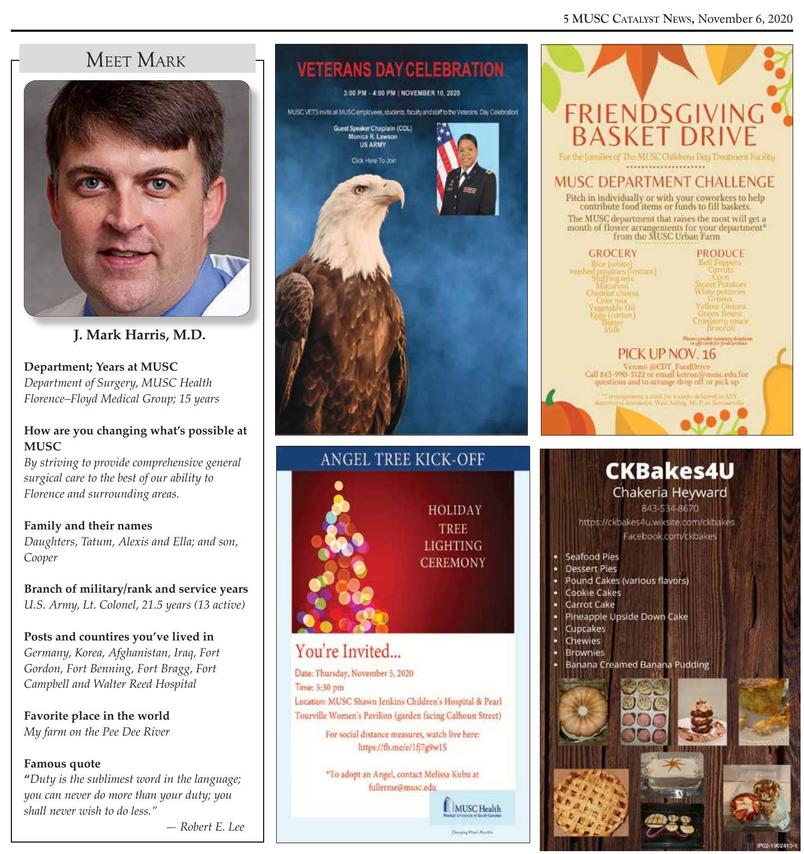#### **5 mUsc cAtAlyst news,** November 6, 2020

### Meet Mark



**J. Mark Harris, M.D.**

**Department; Years at MUSC** *Department of Surgery, MUSC Health Florence–Floyd Medical Group; 15 years*

#### **How are you changing what's possible at MUSC**

*By striving to provide comprehensive general surgical care to the best of our ability to Florence and surrounding areas.*

**Family and their names**  *Daughters, Tatum, Alexis and Ella; and son, Cooper*

**Branch of military/rank and service years** *U.S. Army, Lt. Colonel, 21.5 years (13 active)*

#### **Posts and countires you've lived in**

*Germany, Korea, Afghanistan, Iraq, Fort Gordon, Fort Benning, Fort Bragg, Fort Campbell and Walter Reed Hospital*

**Favorite place in the world** *My farm on the Pee Dee River*

#### **Famous quote**

**"***Duty is the sublimest word in the language; you can never do more than your duty; you shall never wish to do less."*



# **VETERANS DAY CELEBRATION** 3:00 PM - 4:00 PM | NOVEMBER 10, 2020 MUSC VETS invite all MUSC employees, students, faculty and staff to the Veterans Day Celebratori Guest Speaker Chaptain (COL) Sales R. Lawson Click Here To Join



#### **HOLIDAY** TREE **LIGHTING CEREMONY**

### You're Invited...

Date: Thursday, November 5, 2020 Time: 5:30 pm Location: MUSC Shawn Jenkins Children's Hospital & Pearl Tourville Women's Pavilion (garden facing Calhoun Street) For social distance measures, watch live here:

https://fb.me/e/1fj7g9w1S

"To adopt an Angel, contact Melissa Kubu at fullerme@musc.edu

MUSC Health

|                                                                                | FRIENDSGIVING<br>BASKET DRIVE                                                                                                        |
|--------------------------------------------------------------------------------|--------------------------------------------------------------------------------------------------------------------------------------|
|                                                                                | For the families of The MUSC Childrens Day Treatment Facility                                                                        |
|                                                                                | MUSC DEPARTMENT CHALLENGE                                                                                                            |
|                                                                                | Pitch in individually or with your coworkers to help<br>contribute food items or funds to fill baskets.                              |
|                                                                                | The MUSC department that raises the most will get a<br>month of flower arrangements for your department"<br>from the MUSC Urban Farm |
| GROCERY                                                                        | PRODUCE                                                                                                                              |
| Rice (white)<br>mosbed potators (instant)<br>Stuffing mix                      | <b>Bell Peppers</b><br>Carrots<br>Com                                                                                                |
| Mucaroni                                                                       | <b>Street Printoes</b><br>White pointnes<br>Greens                                                                                   |
| Cheddar cheese<br>Cake mix<br>Vegetable Oil<br>Eggs (carton)<br>Batter<br>Milk | <b>Yellow Onions</b><br>Green Bears<br>Cranberry yauce                                                                               |
|                                                                                | Broccob<br>Please consider roomstay downtoon<br>or ppcominger presidentials                                                          |
|                                                                                | PICK UP NOV. 16                                                                                                                      |
|                                                                                | Venmo @CDT_FoodDrive<br>Call 845-990-5122 or email ketron@musc.edu for<br>questions and to arrange drop off or pick up               |
|                                                                                | de articular desentação West Ashing Mr. P. ve Saminavel                                                                              |
|                                                                                |                                                                                                                                      |
|                                                                                |                                                                                                                                      |
|                                                                                | <b>CKBakes4U</b>                                                                                                                     |
|                                                                                | Chakeria Heyward                                                                                                                     |
|                                                                                | 843-534-8670                                                                                                                         |
|                                                                                | https://ckbakes4u.wixsite.com/ckbakes<br>Facebook.com/ckbakes                                                                        |
| <b>Seafood Pies</b>                                                            |                                                                                                                                      |
| <b>Dessert Pies</b><br>Pound Cakes (various flavors)<br>۰                      |                                                                                                                                      |
| <b>Cookie Cakes</b><br>٠<br><b>Carrot Cake</b><br>٠                            |                                                                                                                                      |
| Pineapple Upside Down Cake<br>Cupcakes                                         |                                                                                                                                      |
| Chewies                                                                        |                                                                                                                                      |
| · Brownies                                                                     |                                                                                                                                      |

Banana Creamed Banana Pudding

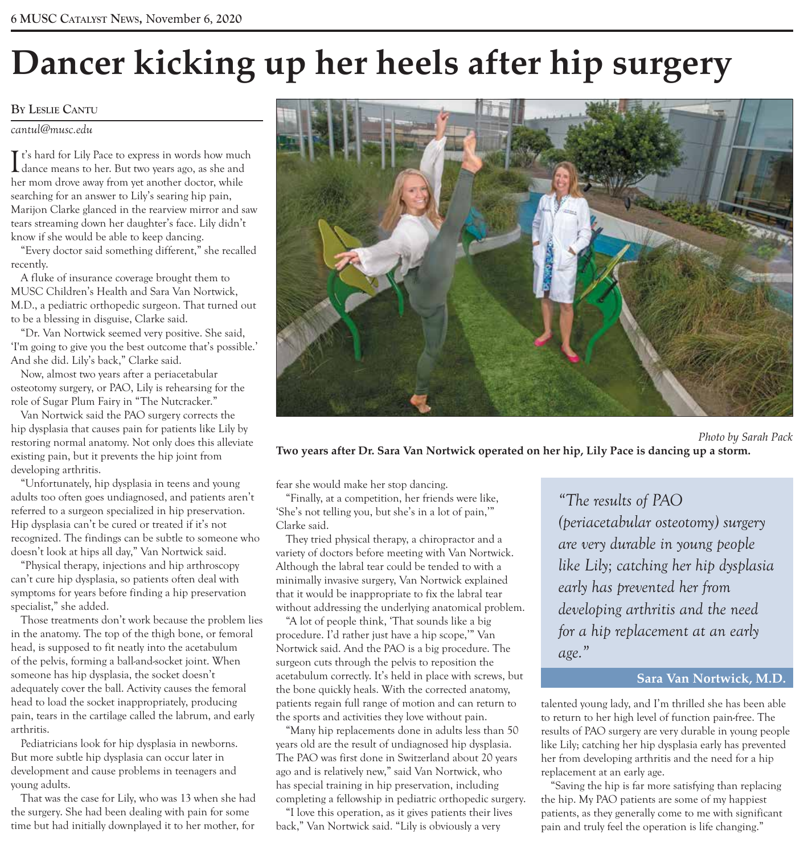# **Dancer kicking up her heels after hip surgery**

#### **By leslie cAntU**

*cantul@musc.edu*

I t's hard for Lily Pace to express in words how much<br>dance means to her. But two years ago, as she and **L** dance means to her. But two years ago, as she and her mom drove away from yet another doctor, while searching for an answer to Lily's searing hip pain, Marijon Clarke glanced in the rearview mirror and saw tears streaming down her daughter's face. Lily didn't know if she would be able to keep dancing.

"Every doctor said something different," she recalled recently.

A fluke of insurance coverage brought them to MUSC Children's Health and Sara Van Nortwick, M.D., a pediatric orthopedic surgeon. That turned out to be a blessing in disguise, Clarke said.

"Dr. Van Nortwick seemed very positive. She said, 'I'm going to give you the best outcome that's possible.' And she did. Lily's back," Clarke said.

Now, almost two years after a periacetabular osteotomy surgery, or PAO, Lily is rehearsing for the role of Sugar Plum Fairy in "The Nutcracker."

Van Nortwick said the PAO surgery corrects the hip dysplasia that causes pain for patients like Lily by restoring normal anatomy. Not only does this alleviate existing pain, but it prevents the hip joint from developing arthritis.

"Unfortunately, hip dysplasia in teens and young adults too often goes undiagnosed, and patients aren't referred to a surgeon specialized in hip preservation. Hip dysplasia can't be cured or treated if it's not recognized. The findings can be subtle to someone who doesn't look at hips all day," Van Nortwick said.

"Physical therapy, injections and hip arthroscopy can't cure hip dysplasia, so patients often deal with symptoms for years before finding a hip preservation specialist," she added.

Those treatments don't work because the problem lies in the anatomy. The top of the thigh bone, or femoral head, is supposed to fit neatly into the acetabulum of the pelvis, forming a ball-and-socket joint. When someone has hip dysplasia, the socket doesn't adequately cover the ball. Activity causes the femoral head to load the socket inappropriately, producing pain, tears in the cartilage called the labrum, and early arthritis.

Pediatricians look for hip dysplasia in newborns. But more subtle hip dysplasia can occur later in development and cause problems in teenagers and young adults.

That was the case for Lily, who was 13 when she had the surgery. She had been dealing with pain for some time but had initially downplayed it to her mother, for



 *Photo by Sarah Pack* **Two years after Dr. Sara Van Nortwick operated on her hip, Lily Pace is dancing up a storm.**

fear she would make her stop dancing.

"Finally, at a competition, her friends were like, 'She's not telling you, but she's in a lot of pain,'" Clarke said.

They tried physical therapy, a chiropractor and a variety of doctors before meeting with Van Nortwick. Although the labral tear could be tended to with a minimally invasive surgery, Van Nortwick explained that it would be inappropriate to fix the labral tear without addressing the underlying anatomical problem.

"A lot of people think, 'That sounds like a big procedure. I'd rather just have a hip scope,'" Van Nortwick said. And the PAO is a big procedure. The surgeon cuts through the pelvis to reposition the acetabulum correctly. It's held in place with screws, but the bone quickly heals. With the corrected anatomy, patients regain full range of motion and can return to the sports and activities they love without pain.

"Many hip replacements done in adults less than 50 years old are the result of undiagnosed hip dysplasia. The PAO was first done in Switzerland about 20 years ago and is relatively new," said Van Nortwick, who has special training in hip preservation, including completing a fellowship in pediatric orthopedic surgery.

"I love this operation, as it gives patients their lives back," Van Nortwick said. "Lily is obviously a very

*"The results of PAO (periacetabular osteotomy) surgery are very durable in young people like Lily; catching her hip dysplasia early has prevented her from developing arthritis and the need for a hip replacement at an early age."*

#### **Sara Van Nortwick, M.D.**

talented young lady, and I'm thrilled she has been able to return to her high level of function pain-free. The results of PAO surgery are very durable in young people like Lily; catching her hip dysplasia early has prevented her from developing arthritis and the need for a hip replacement at an early age.

"Saving the hip is far more satisfying than replacing the hip. My PAO patients are some of my happiest patients, as they generally come to me with significant pain and truly feel the operation is life changing."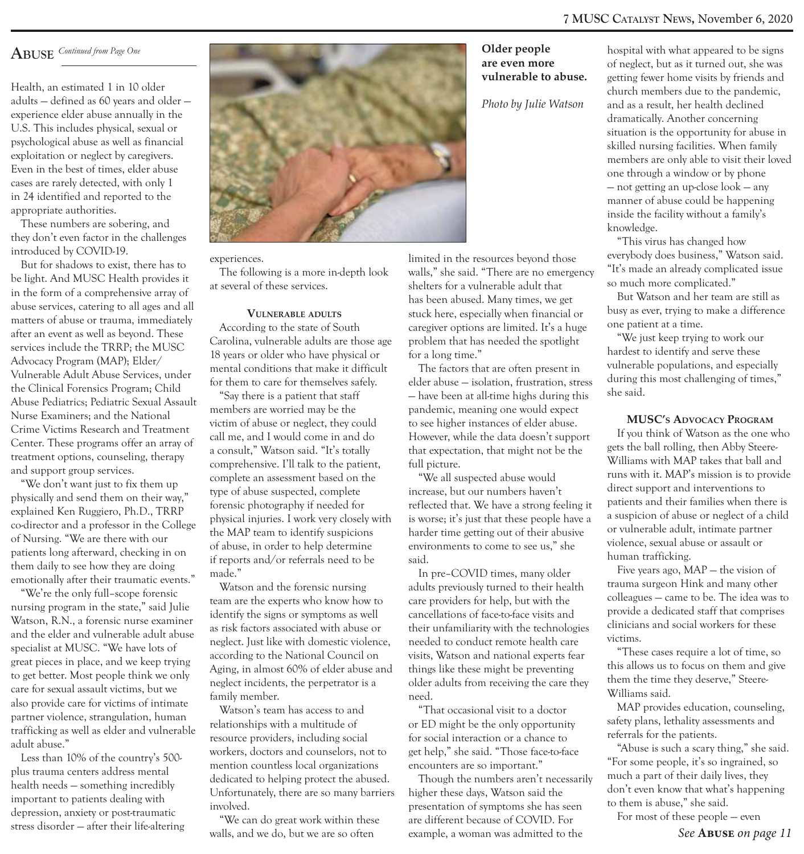Health, an estimated 1 in 10 older adults — defined as 60 years and older experience elder abuse annually in the U.S. This includes physical, sexual or psychological abuse as well as financial exploitation or neglect by caregivers. Even in the best of times, elder abuse cases are rarely detected, with only 1 in 24 identified and reported to the appropriate authorities.

These numbers are sobering, and they don't even factor in the challenges introduced by COVID-19.

But for shadows to exist, there has to be light. And MUSC Health provides it in the form of a comprehensive array of abuse services, catering to all ages and all matters of abuse or trauma, immediately after an event as well as beyond. These services include the TRRP; the MUSC Advocacy Program (MAP); Elder/ Vulnerable Adult Abuse Services, under the Clinical Forensics Program; Child Abuse Pediatrics; Pediatric Sexual Assault Nurse Examiners; and the National Crime Victims Research and Treatment Center. These programs offer an array of treatment options, counseling, therapy and support group services.

"We don't want just to fix them up physically and send them on their way," explained Ken Ruggiero, Ph.D., TRRP co-director and a professor in the College of Nursing. "We are there with our patients long afterward, checking in on them daily to see how they are doing emotionally after their traumatic events."

"We're the only full–scope forensic nursing program in the state," said Julie Watson, R.N., a forensic nurse examiner and the elder and vulnerable adult abuse specialist at MUSC. "We have lots of great pieces in place, and we keep trying to get better. Most people think we only care for sexual assault victims, but we also provide care for victims of intimate partner violence, strangulation, human trafficking as well as elder and vulnerable adult abuse."

Less than 10% of the country's 500 plus trauma centers address mental health needs — something incredibly important to patients dealing with depression, anxiety or post-traumatic stress disorder — after their life-altering



#### experiences.

The following is a more in-depth look at several of these services.

#### **Vulnerable adults**

According to the state of South Carolina, vulnerable adults are those age 18 years or older who have physical or mental conditions that make it difficult for them to care for themselves safely.

"Say there is a patient that staff members are worried may be the victim of abuse or neglect, they could call me, and I would come in and do a consult," Watson said. "It's totally comprehensive. I'll talk to the patient, complete an assessment based on the type of abuse suspected, complete forensic photography if needed for physical injuries. I work very closely with the MAP team to identify suspicions of abuse, in order to help determine if reports and/or referrals need to be made."

Watson and the forensic nursing team are the experts who know how to identify the signs or symptoms as well as risk factors associated with abuse or neglect. Just like with domestic violence, according to the National Council on Aging, in almost 60% of elder abuse and neglect incidents, the perpetrator is a family member.

Watson's team has access to and relationships with a multitude of resource providers, including social workers, doctors and counselors, not to mention countless local organizations dedicated to helping protect the abused. Unfortunately, there are so many barriers involved.

"We can do great work within these walls, and we do, but we are so often

#### **are even more vulnerable to abuse.**

*Photo by Julie Watson*

limited in the resources beyond those walls," she said. "There are no emergency shelters for a vulnerable adult that has been abused. Many times, we get stuck here, especially when financial or caregiver options are limited. It's a huge problem that has needed the spotlight for a long time."

The factors that are often present in elder abuse — isolation, frustration, stress — have been at all-time highs during this pandemic, meaning one would expect to see higher instances of elder abuse. However, while the data doesn't support that expectation, that might not be the full picture.

"We all suspected abuse would increase, but our numbers haven't reflected that. We have a strong feeling it is worse; it's just that these people have a harder time getting out of their abusive environments to come to see us," she said.

In pre–COVID times, many older adults previously turned to their health care providers for help, but with the cancellations of face-to-face visits and their unfamiliarity with the technologies needed to conduct remote health care visits, Watson and national experts fear things like these might be preventing older adults from receiving the care they need.

"That occasional visit to a doctor or ED might be the only opportunity for social interaction or a chance to get help," she said. "Those face-to-face encounters are so important."

Though the numbers aren't necessarily higher these days, Watson said the presentation of symptoms she has seen are different because of COVID. For example, a woman was admitted to the

hospital with what appeared to be signs of neglect, but as it turned out, she was getting fewer home visits by friends and church members due to the pandemic, and as a result, her health declined dramatically. Another concerning situation is the opportunity for abuse in skilled nursing facilities. When family members are only able to visit their loved one through a window or by phone — not getting an up-close look — any manner of abuse could be happening inside the facility without a family's knowledge.

"This virus has changed how everybody does business," Watson said. "It's made an already complicated issue so much more complicated."

But Watson and her team are still as busy as ever, trying to make a difference one patient at a time.

"We just keep trying to work our hardest to identify and serve these vulnerable populations, and especially during this most challenging of times," she said.

#### **MUSC's ADVOCACY PROGRAM**

If you think of Watson as the one who gets the ball rolling, then Abby Steere-Williams with MAP takes that ball and runs with it. MAP's mission is to provide direct support and interventions to patients and their families when there is a suspicion of abuse or neglect of a child or vulnerable adult, intimate partner violence, sexual abuse or assault or human trafficking.

Five years ago, MAP — the vision of trauma surgeon Hink and many other colleagues — came to be. The idea was to provide a dedicated staff that comprises clinicians and social workers for these victims.

"These cases require a lot of time, so this allows us to focus on them and give them the time they deserve," Steere-Williams said.

MAP provides education, counseling, safety plans, lethality assessments and referrals for the patients.

"Abuse is such a scary thing," she said. "For some people, it's so ingrained, so much a part of their daily lives, they don't even know that what's happening to them is abuse," she said.

For most of these people — even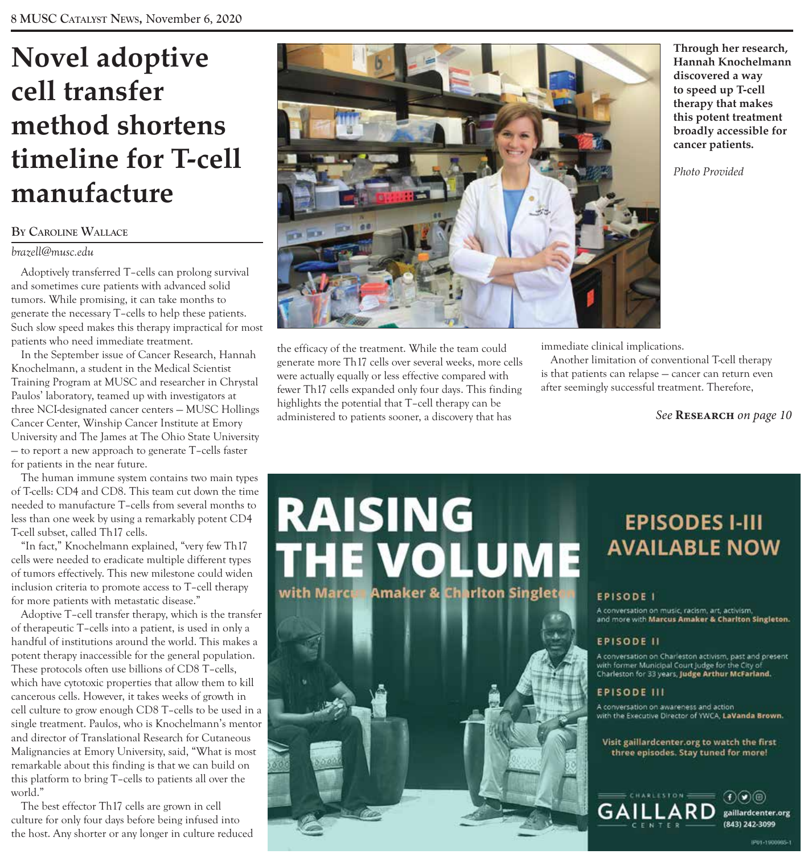### **Novel adoptive cell transfer method shortens timeline for T-cell manufacture**

#### **By cAroline wAllAce**

#### *brazell@musc.edu*

Adoptively transferred T–cells can prolong survival and sometimes cure patients with advanced solid tumors. While promising, it can take months to generate the necessary T–cells to help these patients. Such slow speed makes this therapy impractical for most patients who need immediate treatment.

In the September issue of Cancer Research, Hannah Knochelmann, a student in the Medical Scientist Training Program at MUSC and researcher in Chrystal Paulos' laboratory, teamed up with investigators at three NCI-designated cancer centers — MUSC Hollings Cancer Center, Winship Cancer Institute at Emory University and The James at The Ohio State University — to report a new approach to generate T–cells faster for patients in the near future.

The human immune system contains two main types of T-cells: CD4 and CD8. This team cut down the time needed to manufacture T–cells from several months to less than one week by using a remarkably potent CD4 T-cell subset, called Th17 cells.

"In fact," Knochelmann explained, "very few Th17 cells were needed to eradicate multiple different types of tumors effectively. This new milestone could widen inclusion criteria to promote access to T–cell therapy for more patients with metastatic disease."

Adoptive T–cell transfer therapy, which is the transfer of therapeutic T–cells into a patient, is used in only a handful of institutions around the world. This makes a potent therapy inaccessible for the general population. These protocols often use billions of CD8 T–cells, which have cytotoxic properties that allow them to kill cancerous cells. However, it takes weeks of growth in cell culture to grow enough CD8 T–cells to be used in a single treatment. Paulos, who is Knochelmann's mentor and director of Translational Research for Cutaneous Malignancies at Emory University, said, "What is most remarkable about this finding is that we can build on this platform to bring T–cells to patients all over the world."

The best effector Th17 cells are grown in cell culture for only four days before being infused into the host. Any shorter or any longer in culture reduced



the efficacy of the treatment. While the team could generate more Th17 cells over several weeks, more cells were actually equally or less effective compared with fewer Th17 cells expanded only four days. This finding highlights the potential that T–cell therapy can be administered to patients sooner, a discovery that has

with Marce

immediate clinical implications.

Another limitation of conventional T-cell therapy is that patients can relapse — cancer can return even after seemingly successful treatment. Therefore,

*See* **Research** *on page 10*

#### **RAISING EPISODES I-III THE VOLUME AVAILABLE NOW Amaker & Chariton Singlet**

### **EPISODE I**

.<br>A conversation on music, racism, art, activism,<br>and more with Marcus Amaker & Charlton Singleton.

#### **EPISODE II**

A conversation on Charleston activism, past and present with former Municipal Court Judge for the City of Charleston for 33 years, Judge Arthur McFarland.

#### **EPISODE III**

A conversation on awareness and action with the Executive Director of YWCA, LaVanda Brown.

Visit gaillardcenter.org to watch the first three episodes. Stay tuned for more!



**Through her research, Hannah Knochelmann discovered a way to speed up T-cell therapy that makes this potent treatment broadly accessible for cancer patients.**

*Photo Provided*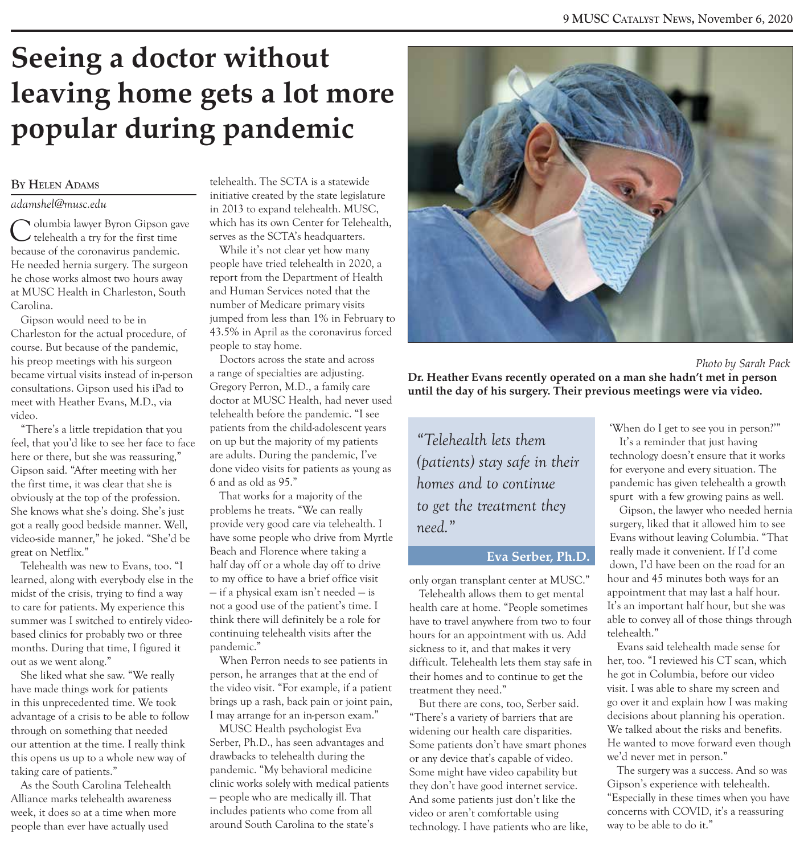### **Seeing a doctor without leaving home gets a lot more popular during pandemic**

#### **By Helen AdAms**

#### *adamshel@musc.edu*

Olumbia lawyer Byron Gipson gave telehealth a try for the first time because of the coronavirus pandemic. He needed hernia surgery. The surgeon he chose works almost two hours away at MUSC Health in Charleston, South Carolina.

Gipson would need to be in Charleston for the actual procedure, of course. But because of the pandemic, his preop meetings with his surgeon became virtual visits instead of in-person consultations. Gipson used his iPad to meet with Heather Evans, M.D., via video.

"There's a little trepidation that you feel, that you'd like to see her face to face here or there, but she was reassuring," Gipson said. "After meeting with her the first time, it was clear that she is obviously at the top of the profession. She knows what she's doing. She's just got a really good bedside manner. Well, video-side manner," he joked. "She'd be great on Netflix."

Telehealth was new to Evans, too. "I learned, along with everybody else in the midst of the crisis, trying to find a way to care for patients. My experience this summer was I switched to entirely videobased clinics for probably two or three months. During that time, I figured it out as we went along."

She liked what she saw. "We really have made things work for patients in this unprecedented time. We took advantage of a crisis to be able to follow through on something that needed our attention at the time. I really think this opens us up to a whole new way of taking care of patients."

As the South Carolina Telehealth Alliance marks telehealth awareness week, it does so at a time when more people than ever have actually used

telehealth. The SCTA is a statewide initiative created by the state legislature in 2013 to expand telehealth. MUSC, which has its own Center for Telehealth, serves as the SCTA's headquarters.

While it's not clear yet how many people have tried telehealth in 2020, a report from the Department of Health and Human Services noted that the number of Medicare primary visits jumped from less than 1% in February to 43.5% in April as the coronavirus forced people to stay home.

Doctors across the state and across a range of specialties are adjusting. Gregory Perron, M.D., a family care doctor at MUSC Health, had never used telehealth before the pandemic. "I see patients from the child-adolescent years on up but the majority of my patients are adults. During the pandemic, I've done video visits for patients as young as 6 and as old as 95."

That works for a majority of the problems he treats. "We can really provide very good care via telehealth. I have some people who drive from Myrtle Beach and Florence where taking a half day off or a whole day off to drive to my office to have a brief office visit — if a physical exam isn't needed — is not a good use of the patient's time. I think there will definitely be a role for continuing telehealth visits after the pandemic."

When Perron needs to see patients in person, he arranges that at the end of the video visit. "For example, if a patient brings up a rash, back pain or joint pain, I may arrange for an in-person exam."

MUSC Health psychologist Eva Serber, Ph.D., has seen advantages and drawbacks to telehealth during the pandemic. "My behavioral medicine clinic works solely with medical patients — people who are medically ill. That includes patients who come from all around South Carolina to the state's



#### *Photo by Sarah Pack* **Dr. Heather Evans recently operated on a man she hadn't met in person until the day of his surgery. Their previous meetings were via video.**

*"Telehealth lets them (patients) stay safe in their homes and to continue to get the treatment they need."*

#### **Eva Serber, Ph.D.**

only organ transplant center at MUSC."

Telehealth allows them to get mental health care at home. "People sometimes have to travel anywhere from two to four hours for an appointment with us. Add sickness to it, and that makes it very difficult. Telehealth lets them stay safe in their homes and to continue to get the treatment they need."

But there are cons, too, Serber said. "There's a variety of barriers that are widening our health care disparities. Some patients don't have smart phones or any device that's capable of video. Some might have video capability but they don't have good internet service. And some patients just don't like the video or aren't comfortable using technology. I have patients who are like,

'When do I get to see you in person?'" It's a reminder that just having technology doesn't ensure that it works for everyone and every situation. The pandemic has given telehealth a growth spurt with a few growing pains as well.

Gipson, the lawyer who needed hernia surgery, liked that it allowed him to see Evans without leaving Columbia. "That really made it convenient. If I'd come down, I'd have been on the road for an hour and 45 minutes both ways for an appointment that may last a half hour. It's an important half hour, but she was able to convey all of those things through telehealth."

Evans said telehealth made sense for her, too. "I reviewed his CT scan, which he got in Columbia, before our video visit. I was able to share my screen and go over it and explain how I was making decisions about planning his operation. We talked about the risks and benefits. He wanted to move forward even though we'd never met in person."

The surgery was a success. And so was Gipson's experience with telehealth. "Especially in these times when you have concerns with COVID, it's a reassuring way to be able to do it."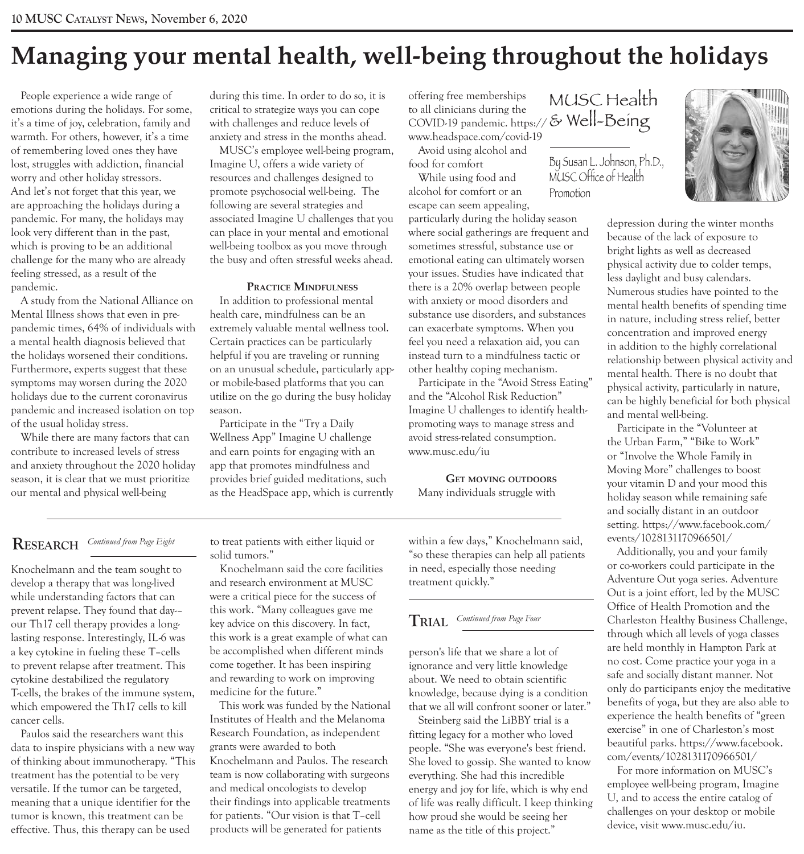### **Managing your mental health, well-being throughout the holidays**

People experience a wide range of emotions during the holidays. For some, it's a time of joy, celebration, family and warmth. For others, however, it's a time of remembering loved ones they have lost, struggles with addiction, financial worry and other holiday stressors. And let's not forget that this year, we are approaching the holidays during a pandemic. For many, the holidays may look very different than in the past, which is proving to be an additional challenge for the many who are already feeling stressed, as a result of the pandemic.

A study from the National Alliance on Mental Illness shows that even in prepandemic times, 64% of individuals with a mental health diagnosis believed that the holidays worsened their conditions. Furthermore, experts suggest that these symptoms may worsen during the 2020 holidays due to the current coronavirus pandemic and increased isolation on top of the usual holiday stress.

While there are many factors that can contribute to increased levels of stress and anxiety throughout the 2020 holiday season, it is clear that we must prioritize our mental and physical well-being

during this time. In order to do so, it is critical to strategize ways you can cope with challenges and reduce levels of anxiety and stress in the months ahead.

MUSC's employee well-being program, Imagine U, offers a wide variety of resources and challenges designed to promote psychosocial well-being. The following are several strategies and associated Imagine U challenges that you can place in your mental and emotional well-being toolbox as you move through the busy and often stressful weeks ahead.

#### **PraCtiCe Mindfulness**

In addition to professional mental health care, mindfulness can be an extremely valuable mental wellness tool. Certain practices can be particularly helpful if you are traveling or running on an unusual schedule, particularly appor mobile-based platforms that you can utilize on the go during the busy holiday season.

Participate in the "Try a Daily Wellness App" Imagine U challenge and earn points for engaging with an app that promotes mindfulness and provides brief guided meditations, such as the HeadSpace app, which is currently

& Well-Being COVID-19 pandemic. https:// offering free memberships to all clinicians during the www.headspace.com/covid-19

MUSC Health

By Susan L. Johnson, Ph.D., MUSC Office of Health

Promotion

Avoid using alcohol and food for comfort

While using food and alcohol for comfort or an escape can seem appealing,

particularly during the holiday season where social gatherings are frequent and sometimes stressful, substance use or emotional eating can ultimately worsen your issues. Studies have indicated that there is a 20% overlap between people with anxiety or mood disorders and substance use disorders, and substances can exacerbate symptoms. When you feel you need a relaxation aid, you can instead turn to a mindfulness tactic or other healthy coping mechanism.

Participate in the "Avoid Stress Eating" and the "Alcohol Risk Reduction" Imagine U challenges to identify healthpromoting ways to manage stress and avoid stress-related consumption. www.musc.edu/iu

**get MoVing outdoors** Many individuals struggle with

within a few days," Knochelmann said, "so these therapies can help all patients in need, especially those needing treatment quickly."

#### **TRIAL** *Continued from Page Four*

person's life that we share a lot of ignorance and very little knowledge about. We need to obtain scientific knowledge, because dying is a condition that we all will confront sooner or later."

Steinberg said the LiBBY trial is a fitting legacy for a mother who loved people. "She was everyone's best friend. She loved to gossip. She wanted to know everything. She had this incredible energy and joy for life, which is why end of life was really difficult. I keep thinking how proud she would be seeing her name as the title of this project."

depression during the winter months because of the lack of exposure to bright lights as well as decreased physical activity due to colder temps, less daylight and busy calendars. Numerous studies have pointed to the mental health benefits of spending time in nature, including stress relief, better concentration and improved energy in addition to the highly correlational relationship between physical activity and mental health. There is no doubt that physical activity, particularly in nature, can be highly beneficial for both physical and mental well-being.

Participate in the "Volunteer at the Urban Farm," "Bike to Work" or "Involve the Whole Family in Moving More" challenges to boost your vitamin D and your mood this holiday season while remaining safe and socially distant in an outdoor setting. https://www.facebook.com/ events/1028131170966501/

Additionally, you and your family or co-workers could participate in the Adventure Out yoga series. Adventure Out is a joint effort, led by the MUSC Office of Health Promotion and the Charleston Healthy Business Challenge, through which all levels of yoga classes are held monthly in Hampton Park at no cost. Come practice your yoga in a safe and socially distant manner. Not only do participants enjoy the meditative benefits of yoga, but they are also able to experience the health benefits of "green exercise" in one of Charleston's most beautiful parks. https://www.facebook. com/events/1028131170966501/

For more information on MUSC's employee well-being program, Imagine U, and to access the entire catalog of challenges on your desktop or mobile device, visit www.musc.edu/iu.

#### **reseArcH** *Continued from Page Eight*

Knochelmann and the team sought to develop a therapy that was long-lived while understanding factors that can prevent relapse. They found that day-– our Th17 cell therapy provides a longlasting response. Interestingly, IL-6 was a key cytokine in fueling these T–cells to prevent relapse after treatment. This cytokine destabilized the regulatory T-cells, the brakes of the immune system, which empowered the Th17 cells to kill cancer cells.

Paulos said the researchers want this data to inspire physicians with a new way of thinking about immunotherapy. "This treatment has the potential to be very versatile. If the tumor can be targeted, meaning that a unique identifier for the tumor is known, this treatment can be effective. Thus, this therapy can be used

to treat patients with either liquid or solid tumors."

Knochelmann said the core facilities and research environment at MUSC were a critical piece for the success of this work. "Many colleagues gave me key advice on this discovery. In fact, this work is a great example of what can be accomplished when different minds come together. It has been inspiring and rewarding to work on improving medicine for the future."

Institutes of Health and the Melanoma Research Foundation, as independent grants were awarded to both Knochelmann and Paulos. The research team is now collaborating with surgeons and medical oncologists to develop their findings into applicable treatments for patients. "Our vision is that T–cell products will be generated for patients

This work was funded by the National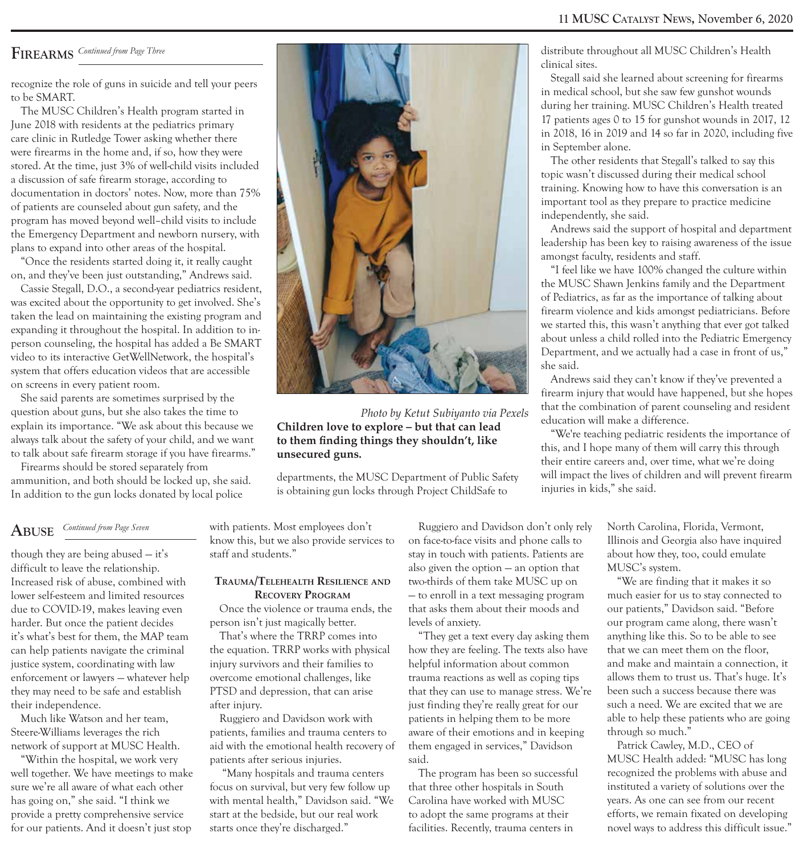#### **11 mUsc cAtAlyst news,** November 6, 2020

#### **FireArms** *Continued from Page Three*

recognize the role of guns in suicide and tell your peers to be SMART.

The MUSC Children's Health program started in June 2018 with residents at the pediatrics primary care clinic in Rutledge Tower asking whether there were firearms in the home and, if so, how they were stored. At the time, just 3% of well-child visits included a discussion of safe firearm storage, according to documentation in doctors' notes. Now, more than 75% of patients are counseled about gun safety, and the program has moved beyond well–child visits to include the Emergency Department and newborn nursery, with plans to expand into other areas of the hospital.

"Once the residents started doing it, it really caught on, and they've been just outstanding," Andrews said.

Cassie Stegall, D.O., a second-year pediatrics resident, was excited about the opportunity to get involved. She's taken the lead on maintaining the existing program and expanding it throughout the hospital. In addition to inperson counseling, the hospital has added a Be SMART video to its interactive GetWellNetwork, the hospital's system that offers education videos that are accessible on screens in every patient room.

She said parents are sometimes surprised by the question about guns, but she also takes the time to explain its importance. "We ask about this because we always talk about the safety of your child, and we want to talk about safe firearm storage if you have firearms."

Firearms should be stored separately from ammunition, and both should be locked up, she said. In addition to the gun locks donated by local police

### **ABUse** *Continued from Page Seven*

though they are being abused — it's difficult to leave the relationship. Increased risk of abuse, combined with lower self-esteem and limited resources due to COVID-19, makes leaving even harder. But once the patient decides it's what's best for them, the MAP team can help patients navigate the criminal justice system, coordinating with law enforcement or lawyers — whatever help they may need to be safe and establish their independence.

Much like Watson and her team, Steere-Williams leverages the rich network of support at MUSC Health.

"Within the hospital, we work very well together. We have meetings to make sure we're all aware of what each other has going on," she said. "I think we provide a pretty comprehensive service for our patients. And it doesn't just stop



*Photo by Ketut Subiyanto via Pexels* **Children love to explore – but that can lead to them finding things they shouldn't, like unsecured guns.** 

departments, the MUSC Department of Public Safety is obtaining gun locks through Project ChildSafe to

with patients. Most employees don't know this, but we also provide services to staff and students."

#### **trauMa/telehealth resilienCe and RECOVERY PROGRAM**

Once the violence or trauma ends, the person isn't just magically better.

That's where the TRRP comes into the equation. TRRP works with physical injury survivors and their families to overcome emotional challenges, like PTSD and depression, that can arise after injury.

Ruggiero and Davidson work with patients, families and trauma centers to aid with the emotional health recovery of patients after serious injuries.

 "Many hospitals and trauma centers focus on survival, but very few follow up with mental health," Davidson said. "We start at the bedside, but our real work starts once they're discharged."

Ruggiero and Davidson don't only rely on face-to-face visits and phone calls to stay in touch with patients. Patients are also given the option — an option that two-thirds of them take MUSC up on — to enroll in a text messaging program that asks them about their moods and levels of anxiety.

"They get a text every day asking them how they are feeling. The texts also have helpful information about common trauma reactions as well as coping tips that they can use to manage stress. We're just finding they're really great for our patients in helping them to be more aware of their emotions and in keeping them engaged in services," Davidson said.

The program has been so successful that three other hospitals in South Carolina have worked with MUSC to adopt the same programs at their facilities. Recently, trauma centers in

distribute throughout all MUSC Children's Health clinical sites.

Stegall said she learned about screening for firearms in medical school, but she saw few gunshot wounds during her training. MUSC Children's Health treated 17 patients ages 0 to 15 for gunshot wounds in 2017, 12 in 2018, 16 in 2019 and 14 so far in 2020, including five in September alone.

The other residents that Stegall's talked to say this topic wasn't discussed during their medical school training. Knowing how to have this conversation is an important tool as they prepare to practice medicine independently, she said.

Andrews said the support of hospital and department leadership has been key to raising awareness of the issue amongst faculty, residents and staff.

"I feel like we have 100% changed the culture within the MUSC Shawn Jenkins family and the Department of Pediatrics, as far as the importance of talking about firearm violence and kids amongst pediatricians. Before we started this, this wasn't anything that ever got talked about unless a child rolled into the Pediatric Emergency Department, and we actually had a case in front of us," she said.

Andrews said they can't know if they've prevented a firearm injury that would have happened, but she hopes that the combination of parent counseling and resident education will make a difference.

"We're teaching pediatric residents the importance of this, and I hope many of them will carry this through their entire careers and, over time, what we're doing will impact the lives of children and will prevent firearm injuries in kids," she said.

> North Carolina, Florida, Vermont, Illinois and Georgia also have inquired about how they, too, could emulate MUSC's system.

"We are finding that it makes it so much easier for us to stay connected to our patients," Davidson said. "Before our program came along, there wasn't anything like this. So to be able to see that we can meet them on the floor, and make and maintain a connection, it allows them to trust us. That's huge. It's been such a success because there was such a need. We are excited that we are able to help these patients who are going through so much."

Patrick Cawley, M.D., CEO of MUSC Health added: "MUSC has long recognized the problems with abuse and instituted a variety of solutions over the years. As one can see from our recent efforts, we remain fixated on developing novel ways to address this difficult issue."